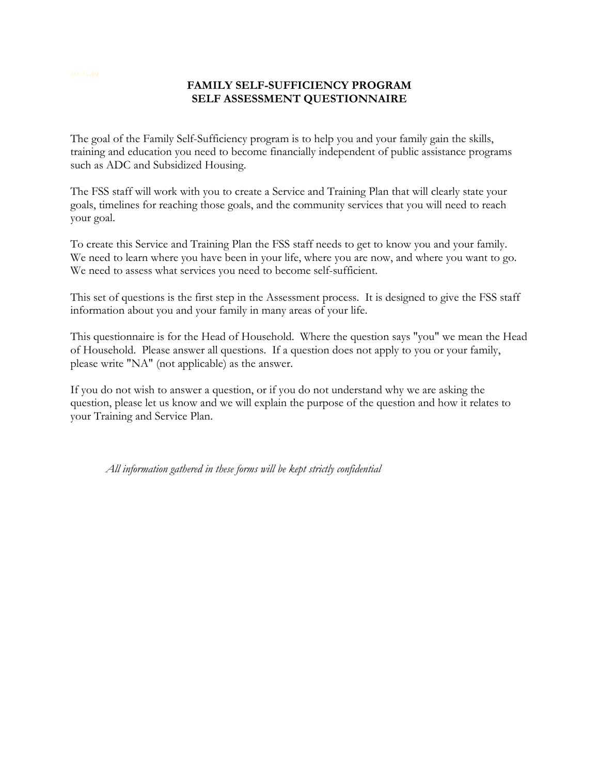## **FAMILY SELF-SUFFICIENCY PROGRAM SELF ASSESSMENT QUESTIONNAIRE**

The goal of the Family Self-Sufficiency program is to help you and your family gain the skills, training and education you need to become financially independent of public assistance programs such as ADC and Subsidized Housing.

The FSS staff will work with you to create a Service and Training Plan that will clearly state your goals, timelines for reaching those goals, and the community services that you will need to reach your goal.

To create this Service and Training Plan the FSS staff needs to get to know you and your family. We need to learn where you have been in your life, where you are now, and where you want to go. We need to assess what services you need to become self-sufficient.

This set of questions is the first step in the Assessment process. It is designed to give the FSS staff information about you and your family in many areas of your life.

This questionnaire is for the Head of Household. Where the question says "you" we mean the Head of Household. Please answer all questions. If a question does not apply to you or your family, please write "NA" (not applicable) as the answer.

If you do not wish to answer a question, or if you do not understand why we are asking the question, please let us know and we will explain the purpose of the question and how it relates to your Training and Service Plan.

*All information gathered in these forms will be kept strictly confidential*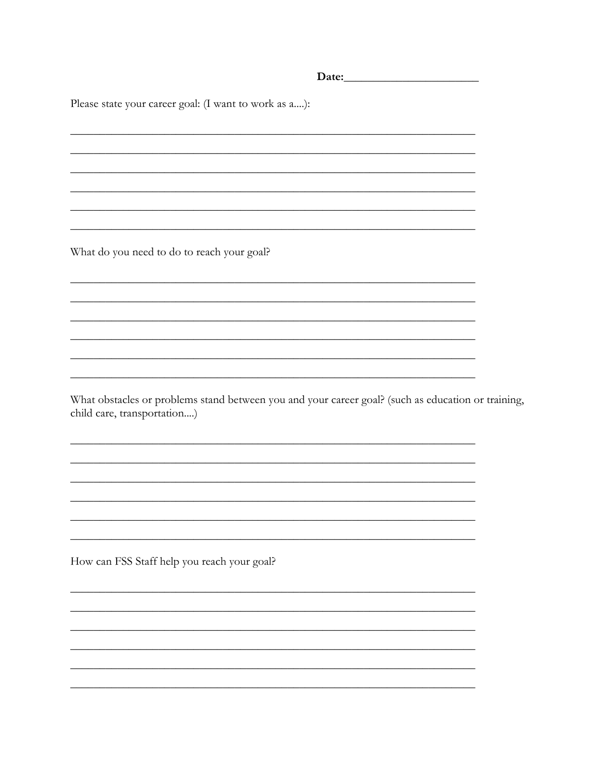| Please state your career goal: (I want to work as a):                                                                             |  |
|-----------------------------------------------------------------------------------------------------------------------------------|--|
|                                                                                                                                   |  |
|                                                                                                                                   |  |
|                                                                                                                                   |  |
|                                                                                                                                   |  |
|                                                                                                                                   |  |
|                                                                                                                                   |  |
| What do you need to do to reach your goal?                                                                                        |  |
|                                                                                                                                   |  |
|                                                                                                                                   |  |
|                                                                                                                                   |  |
|                                                                                                                                   |  |
|                                                                                                                                   |  |
| What obstacles or problems stand between you and your career goal? (such as education or training,<br>child care, transportation) |  |
|                                                                                                                                   |  |
|                                                                                                                                   |  |
|                                                                                                                                   |  |
|                                                                                                                                   |  |
|                                                                                                                                   |  |
| How can FSS Staff help you reach your goal?                                                                                       |  |
|                                                                                                                                   |  |
|                                                                                                                                   |  |
|                                                                                                                                   |  |
|                                                                                                                                   |  |
|                                                                                                                                   |  |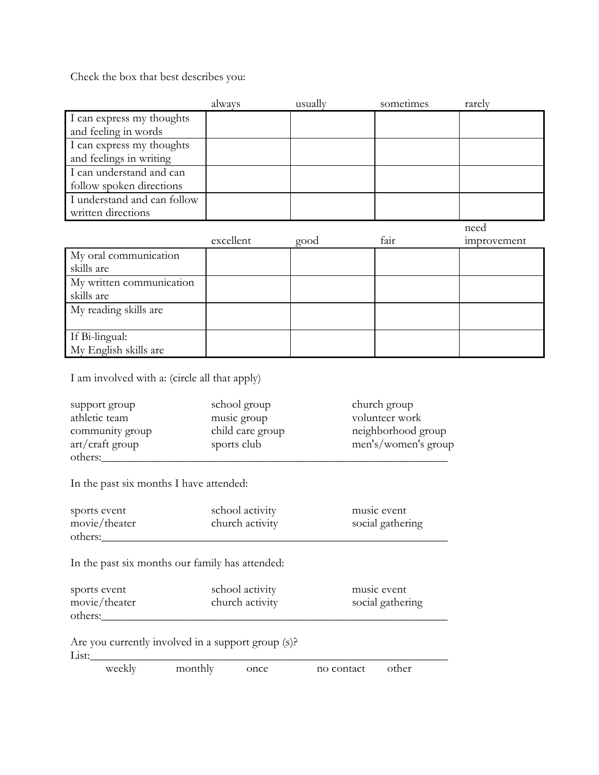Check the box that best describes you:

|                             | always    | usually | sometimes | rarely      |
|-----------------------------|-----------|---------|-----------|-------------|
| I can express my thoughts   |           |         |           |             |
| and feeling in words        |           |         |           |             |
| I can express my thoughts   |           |         |           |             |
| and feelings in writing     |           |         |           |             |
| I can understand and can    |           |         |           |             |
| follow spoken directions    |           |         |           |             |
| I understand and can follow |           |         |           |             |
| written directions          |           |         |           |             |
|                             |           |         |           | need        |
|                             | excellent | good    | fair      | improvement |
|                             |           |         |           |             |
| My oral communication       |           |         |           |             |
| skills are                  |           |         |           |             |
| My written communication    |           |         |           |             |
| skills are                  |           |         |           |             |
| My reading skills are       |           |         |           |             |
|                             |           |         |           |             |
| If Bi-lingual:              |           |         |           |             |

I am involved with a: (circle all that apply)

| support group   | school group     | church group        |
|-----------------|------------------|---------------------|
| athletic team   | music group      | volunteer work      |
| community group | child care group | neighborhood group  |
| art/craft group | sports club      | men's/women's group |
| others:         |                  |                     |

In the past six months I have attended:

| sports event  | school activity | music event      |
|---------------|-----------------|------------------|
| movie/theater | church activity | social gathering |
| others:       |                 |                  |

In the past six months our family has attended:

| sports event  | school activity | music event      |
|---------------|-----------------|------------------|
| movie/theater | church activity | social gathering |
| others:       |                 |                  |

Are you currently involved in a support group (s)?

List:\_\_\_\_\_\_\_\_\_\_\_\_\_\_\_\_\_\_\_\_\_\_\_\_\_\_\_\_\_\_\_\_\_\_\_\_\_\_\_\_\_\_\_\_\_\_\_\_\_\_\_\_\_\_\_\_\_\_\_\_\_

| weekly | monthly | once | no contact | other |  |
|--------|---------|------|------------|-------|--|
|--------|---------|------|------------|-------|--|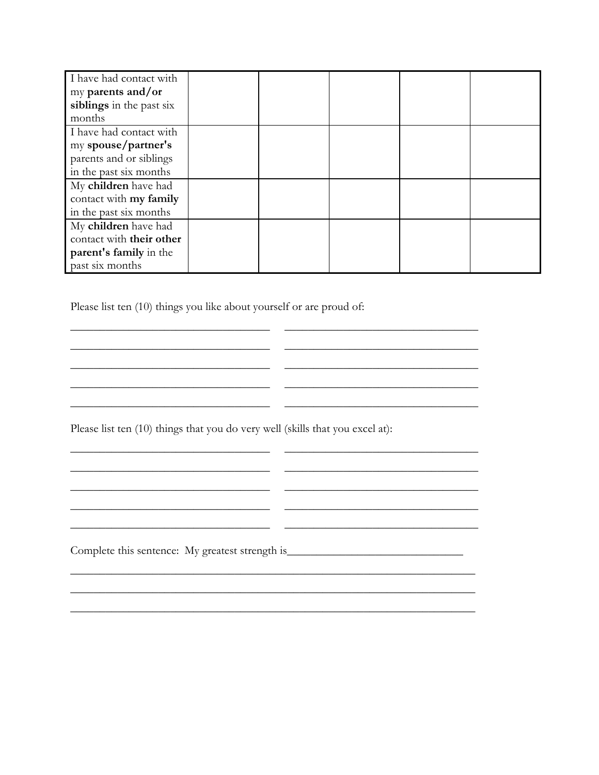| I have had contact with  |  |  |  |
|--------------------------|--|--|--|
| my parents and/or        |  |  |  |
| siblings in the past six |  |  |  |
| months                   |  |  |  |
| I have had contact with  |  |  |  |
| my spouse/partner's      |  |  |  |
| parents and or siblings  |  |  |  |
| in the past six months   |  |  |  |
| My children have had     |  |  |  |
| contact with my family   |  |  |  |
| in the past six months   |  |  |  |
| My children have had     |  |  |  |
| contact with their other |  |  |  |
| parent's family in the   |  |  |  |
| past six months          |  |  |  |

\_\_\_\_\_\_\_\_\_\_\_\_\_\_\_\_\_\_\_\_\_\_\_\_\_\_\_\_\_\_\_\_\_\_ \_\_\_\_\_\_\_\_\_\_\_\_\_\_\_\_\_\_\_\_\_\_\_\_\_\_\_\_\_\_\_\_\_ \_\_\_\_\_\_\_\_\_\_\_\_\_\_\_\_\_\_\_\_\_\_\_\_\_\_\_\_\_\_\_\_\_\_ \_\_\_\_\_\_\_\_\_\_\_\_\_\_\_\_\_\_\_\_\_\_\_\_\_\_\_\_\_\_\_\_\_

\_\_\_\_\_\_\_\_\_\_\_\_\_\_\_\_\_\_\_\_\_\_\_\_\_\_\_\_\_\_\_\_\_\_ \_\_\_\_\_\_\_\_\_\_\_\_\_\_\_\_\_\_\_\_\_\_\_\_\_\_\_\_\_\_\_\_\_ \_\_\_\_\_\_\_\_\_\_\_\_\_\_\_\_\_\_\_\_\_\_\_\_\_\_\_\_\_\_\_\_\_\_ \_\_\_\_\_\_\_\_\_\_\_\_\_\_\_\_\_\_\_\_\_\_\_\_\_\_\_\_\_\_\_\_\_

\_\_\_\_\_\_\_\_\_\_\_\_\_\_\_\_\_\_\_\_\_\_\_\_\_\_\_\_\_\_\_\_\_\_ \_\_\_\_\_\_\_\_\_\_\_\_\_\_\_\_\_\_\_\_\_\_\_\_\_\_\_\_\_\_\_\_\_

\_\_\_\_\_\_\_\_\_\_\_\_\_\_\_\_\_\_\_\_\_\_\_\_\_\_\_\_\_\_\_\_\_\_ \_\_\_\_\_\_\_\_\_\_\_\_\_\_\_\_\_\_\_\_\_\_\_\_\_\_\_\_\_\_\_\_\_

\_\_\_\_\_\_\_\_\_\_\_\_\_\_\_\_\_\_\_\_\_\_\_\_\_\_\_\_\_\_\_\_\_\_\_\_\_\_\_\_\_\_\_\_\_\_\_\_\_\_\_\_\_\_\_\_\_\_\_\_\_\_\_\_\_\_\_\_\_ \_\_\_\_\_\_\_\_\_\_\_\_\_\_\_\_\_\_\_\_\_\_\_\_\_\_\_\_\_\_\_\_\_\_\_\_\_\_\_\_\_\_\_\_\_\_\_\_\_\_\_\_\_\_\_\_\_\_\_\_\_\_\_\_\_\_\_\_\_

\_\_\_\_\_\_\_\_\_\_\_\_\_\_\_\_\_\_\_\_\_\_\_\_\_\_\_\_\_\_\_\_\_\_ \_\_\_\_\_\_\_\_\_\_\_\_\_\_\_\_\_\_\_\_\_\_\_\_\_\_\_\_\_\_\_\_\_

\_\_\_\_\_\_\_\_\_\_\_\_\_\_\_\_\_\_\_\_\_\_\_\_\_\_\_\_\_\_\_\_\_\_ \_\_\_\_\_\_\_\_\_\_\_\_\_\_\_\_\_\_\_\_\_\_\_\_\_\_\_\_\_\_\_\_\_

Please list ten (10) things you like about yourself or are proud of:

Please list ten (10) things that you do very well (skills that you excel at):

 $\frac{1}{2}$  ,  $\frac{1}{2}$  ,  $\frac{1}{2}$  ,  $\frac{1}{2}$  ,  $\frac{1}{2}$  ,  $\frac{1}{2}$  ,  $\frac{1}{2}$  ,  $\frac{1}{2}$  ,  $\frac{1}{2}$  ,  $\frac{1}{2}$  ,  $\frac{1}{2}$  ,  $\frac{1}{2}$  ,  $\frac{1}{2}$  ,  $\frac{1}{2}$  ,  $\frac{1}{2}$  ,  $\frac{1}{2}$  ,  $\frac{1}{2}$  ,  $\frac{1}{2}$  ,  $\frac{1$ 

\_\_\_\_\_\_\_\_\_\_\_\_\_\_\_\_\_\_\_\_\_\_\_\_\_\_\_\_\_\_\_\_\_\_ \_\_\_\_\_\_\_\_\_\_\_\_\_\_\_\_\_\_\_\_\_\_\_\_\_\_\_\_\_\_\_\_\_

Complete this sentence: My greatest strength is\_\_\_\_\_\_\_\_\_\_\_\_\_\_\_\_\_\_\_\_\_\_\_\_\_\_\_\_\_\_\_\_\_